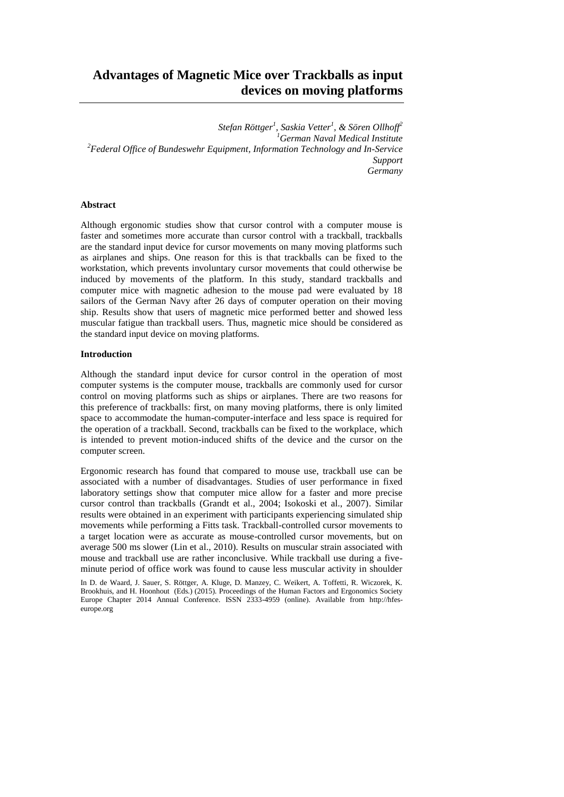*Stefan Röttger<sup>1</sup> , Saskia Vetter<sup>1</sup> , & Sören Ollhoff<sup>2</sup> <sup>1</sup>German Naval Medical Institute <sup>2</sup>Federal Office of Bundeswehr Equipment, Information Technology and In-Service Support Germany*

# **Abstract**

Although ergonomic studies show that cursor control with a computer mouse is faster and sometimes more accurate than cursor control with a trackball, trackballs are the standard input device for cursor movements on many moving platforms such as airplanes and ships. One reason for this is that trackballs can be fixed to the workstation, which prevents involuntary cursor movements that could otherwise be induced by movements of the platform. In this study, standard trackballs and computer mice with magnetic adhesion to the mouse pad were evaluated by 18 sailors of the German Navy after 26 days of computer operation on their moving ship. Results show that users of magnetic mice performed better and showed less muscular fatigue than trackball users. Thus, magnetic mice should be considered as the standard input device on moving platforms.

### **Introduction**

Although the standard input device for cursor control in the operation of most computer systems is the computer mouse, trackballs are commonly used for cursor control on moving platforms such as ships or airplanes. There are two reasons for this preference of trackballs: first, on many moving platforms, there is only limited space to accommodate the human-computer-interface and less space is required for the operation of a trackball. Second, trackballs can be fixed to the workplace, which is intended to prevent motion-induced shifts of the device and the cursor on the computer screen.

Ergonomic research has found that compared to mouse use, trackball use can be associated with a number of disadvantages. Studies of user performance in fixed laboratory settings show that computer mice allow for a faster and more precise cursor control than trackballs (Grandt et al., 2004; Isokoski et al., 2007). Similar results were obtained in an experiment with participants experiencing simulated ship movements while performing a Fitts task. Trackball-controlled cursor movements to a target location were as accurate as mouse-controlled cursor movements, but on average 500 ms slower (Lin et al., 2010). Results on muscular strain associated with mouse and trackball use are rather inconclusive. While trackball use during a fiveminute period of office work was found to cause less muscular activity in shoulder

In D. de Waard, J. Sauer, S. Röttger, A. Kluge, D. Manzey, C. Weikert, A. Toffetti, R. Wiczorek, K. Brookhuis, and H. Hoonhout (Eds.) (2015). Proceedings of the Human Factors and Ergonomics Society Europe Chapter 2014 Annual Conference. ISSN 2333-4959 (online). Available from http://hfeseurope.org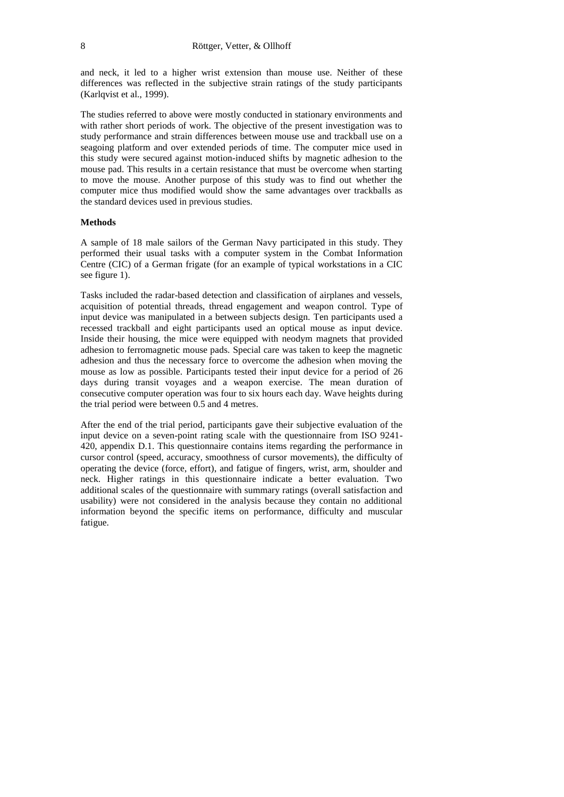and neck, it led to a higher wrist extension than mouse use. Neither of these differences was reflected in the subjective strain ratings of the study participants (Karlqvist et al., 1999).

The studies referred to above were mostly conducted in stationary environments and with rather short periods of work. The objective of the present investigation was to study performance and strain differences between mouse use and trackball use on a seagoing platform and over extended periods of time. The computer mice used in this study were secured against motion-induced shifts by magnetic adhesion to the mouse pad. This results in a certain resistance that must be overcome when starting to move the mouse. Another purpose of this study was to find out whether the computer mice thus modified would show the same advantages over trackballs as the standard devices used in previous studies.

#### **Methods**

A sample of 18 male sailors of the German Navy participated in this study. They performed their usual tasks with a computer system in the Combat Information Centre (CIC) of a German frigate (for an example of typical workstations in a CIC see figure 1).

Tasks included the radar-based detection and classification of airplanes and vessels, acquisition of potential threads, thread engagement and weapon control. Type of input device was manipulated in a between subjects design. Ten participants used a recessed trackball and eight participants used an optical mouse as input device. Inside their housing, the mice were equipped with neodym magnets that provided adhesion to ferromagnetic mouse pads. Special care was taken to keep the magnetic adhesion and thus the necessary force to overcome the adhesion when moving the mouse as low as possible. Participants tested their input device for a period of 26 days during transit voyages and a weapon exercise. The mean duration of consecutive computer operation was four to six hours each day. Wave heights during the trial period were between 0.5 and 4 metres.

After the end of the trial period, participants gave their subjective evaluation of the input device on a seven-point rating scale with the questionnaire from ISO 9241- 420, appendix D.1. This questionnaire contains items regarding the performance in cursor control (speed, accuracy, smoothness of cursor movements), the difficulty of operating the device (force, effort), and fatigue of fingers, wrist, arm, shoulder and neck. Higher ratings in this questionnaire indicate a better evaluation. Two additional scales of the questionnaire with summary ratings (overall satisfaction and usability) were not considered in the analysis because they contain no additional information beyond the specific items on performance, difficulty and muscular fatigue.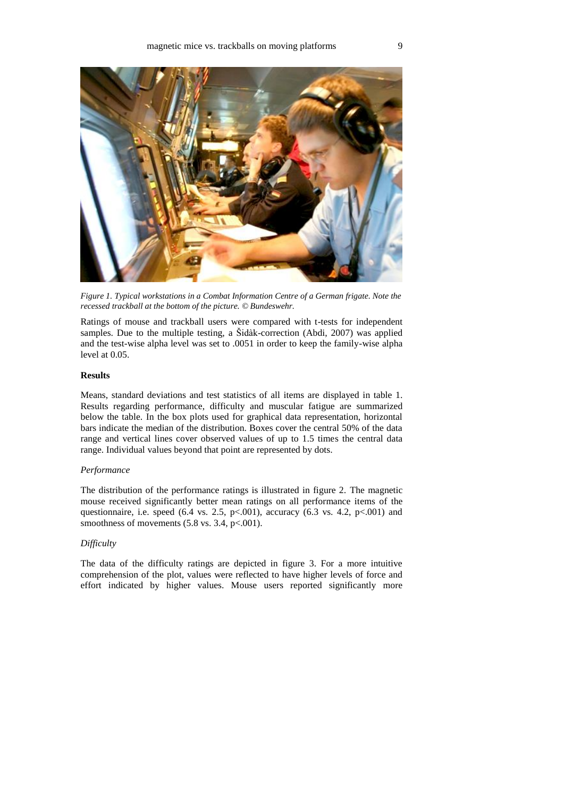

*Figure 1. Typical workstations in a Combat Information Centre of a German frigate. Note the recessed trackball at the bottom of the picture. © Bundeswehr.*

Ratings of mouse and trackball users were compared with t-tests for independent samples. Due to the multiple testing, a Šidàk-correction (Abdi, 2007) was applied and the test-wise alpha level was set to .0051 in order to keep the family-wise alpha level at 0.05.

#### **Results**

Means, standard deviations and test statistics of all items are displayed in table 1. Results regarding performance, difficulty and muscular fatigue are summarized below the table. In the box plots used for graphical data representation, horizontal bars indicate the median of the distribution. Boxes cover the central 50% of the data range and vertical lines cover observed values of up to 1.5 times the central data range. Individual values beyond that point are represented by dots.

# *Performance*

The distribution of the performance ratings is illustrated in figure 2. The magnetic mouse received significantly better mean ratings on all performance items of the questionnaire, i.e. speed (6.4 vs. 2.5, p <. 001), accuracy (6.3 vs. 4.2, p <. 001) and smoothness of movements  $(5.8 \text{ vs. } 3.4, \text{ p} < 0.001)$ .

#### *Difficulty*

The data of the difficulty ratings are depicted in figure 3. For a more intuitive comprehension of the plot, values were reflected to have higher levels of force and effort indicated by higher values. Mouse users reported significantly more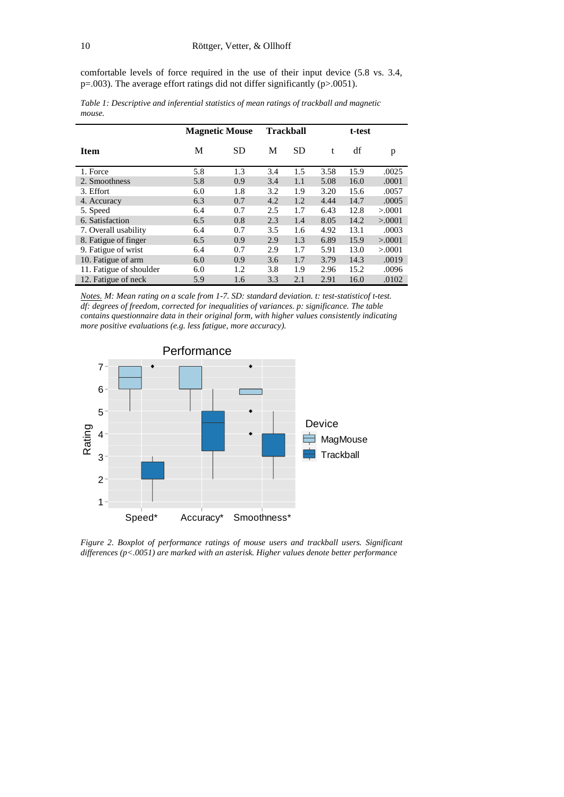comfortable levels of force required in the use of their input device (5.8 vs. 3.4, p=.003). The average effort ratings did not differ significantly (p>.0051).

|                         | <b>Magnetic Mouse</b> |           | <b>Trackball</b> |           | t-test |      |          |
|-------------------------|-----------------------|-----------|------------------|-----------|--------|------|----------|
| <b>Item</b>             | М                     | <b>SD</b> | М                | <b>SD</b> | t      | df   | p        |
| 1. Force                | 5.8                   | 1.3       | 3.4              | 1.5       | 3.58   | 15.9 | .0025    |
| 2. Smoothness           | 5.8                   | 0.9       | 3.4              | 1.1       | 5.08   | 16.0 | .0001    |
| 3. Effort               | 6.0                   | 1.8       | 3.2              | 1.9       | 3.20   | 15.6 | .0057    |
| 4. Accuracy             | 6.3                   | 0.7       | 4.2              | 1.2       | 4.44   | 14.7 | .0005    |
| 5. Speed                | 6.4                   | 0.7       | 2.5              | 1.7       | 6.43   | 12.8 | > 0.0001 |
| 6. Satisfaction         | 6.5                   | 0.8       | 2.3              | 1.4       | 8.05   | 14.2 | > 0.0001 |
| 7. Overall usability    | 6.4                   | 0.7       | 3.5              | 1.6       | 4.92   | 13.1 | .0003    |
| 8. Fatigue of finger    | 6.5                   | 0.9       | 2.9              | 1.3       | 6.89   | 15.9 | > 0.0001 |
| 9. Fatigue of wrist     | 6.4                   | 0.7       | 2.9              | 1.7       | 5.91   | 13.0 | > 0.0001 |
| 10. Fatigue of arm      | 6.0                   | 0.9       | 3.6              | 1.7       | 3.79   | 14.3 | .0019    |
| 11. Fatigue of shoulder | 6.0                   | 1.2       | 3.8              | 1.9       | 2.96   | 15.2 | .0096    |
| 12. Fatigue of neck     | 5.9                   | 1.6       | 3.3              | 2.1       | 2.91   | 16.0 | .0102    |

*Table 1: Descriptive and inferential statistics of mean ratings of trackball and magnetic mouse.*

*Notes. M: Mean rating on a scale from 1-7. SD: standard deviation. t: test-statisticof t-test. df: degrees of freedom, corrected for inequalities of variances. p: significance. The table contains questionnaire data in their original form, with higher values consistently indicating more positive evaluations (e.g. less fatigue, more accuracy).*



*Figure 2. Boxplot of performance ratings of mouse users and trackball users. Significant differences (p<.0051) are marked with an asterisk. Higher values denote better performance*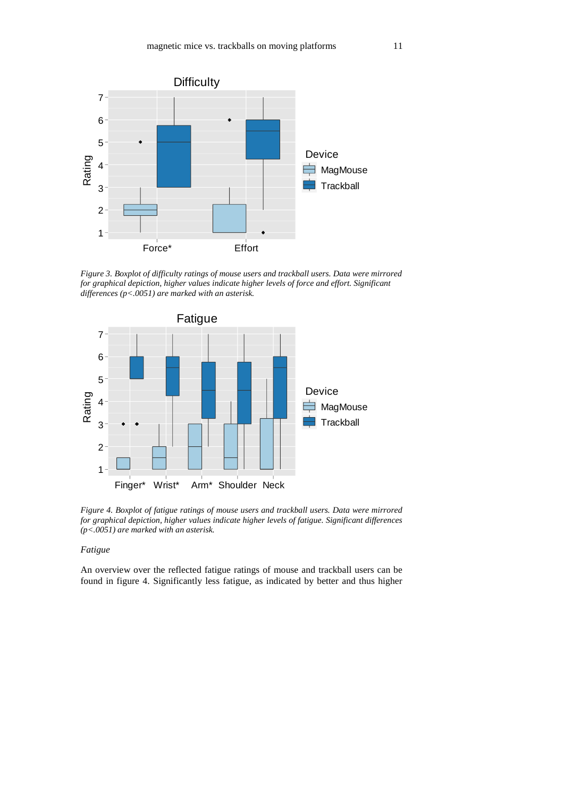

*Figure 3. Boxplot of difficulty ratings of mouse users and trackball users. Data were mirrored for graphical depiction, higher values indicate higher levels of force and effort. Significant differences (p<.0051) are marked with an asterisk.*



*Figure 4. Boxplot of fatigue ratings of mouse users and trackball users. Data were mirrored for graphical depiction, higher values indicate higher levels of fatigue. Significant differences (p<.0051) are marked with an asterisk.*

# *Fatigue*

An overview over the reflected fatigue ratings of mouse and trackball users can be found in figure 4. Significantly less fatigue, as indicated by better and thus higher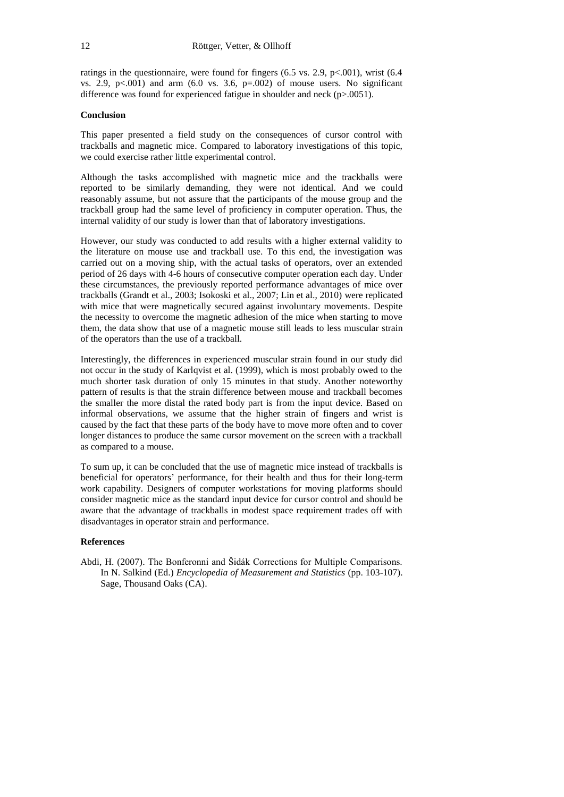ratings in the questionnaire, were found for fingers (6.5 vs. 2.9, p<.001), wrist (6.4 vs. 2.9,  $p<.001$ ) and arm (6.0 vs. 3.6,  $p=.002$ ) of mouse users. No significant difference was found for experienced fatigue in shoulder and neck (p>.0051).

# **Conclusion**

This paper presented a field study on the consequences of cursor control with trackballs and magnetic mice. Compared to laboratory investigations of this topic, we could exercise rather little experimental control.

Although the tasks accomplished with magnetic mice and the trackballs were reported to be similarly demanding, they were not identical. And we could reasonably assume, but not assure that the participants of the mouse group and the trackball group had the same level of proficiency in computer operation. Thus, the internal validity of our study is lower than that of laboratory investigations.

However, our study was conducted to add results with a higher external validity to the literature on mouse use and trackball use. To this end, the investigation was carried out on a moving ship, with the actual tasks of operators, over an extended period of 26 days with 4-6 hours of consecutive computer operation each day. Under these circumstances, the previously reported performance advantages of mice over trackballs (Grandt et al., 2003; Isokoski et al., 2007; Lin et al., 2010) were replicated with mice that were magnetically secured against involuntary movements. Despite the necessity to overcome the magnetic adhesion of the mice when starting to move them, the data show that use of a magnetic mouse still leads to less muscular strain of the operators than the use of a trackball.

Interestingly, the differences in experienced muscular strain found in our study did not occur in the study of Karlqvist et al. (1999), which is most probably owed to the much shorter task duration of only 15 minutes in that study. Another noteworthy pattern of results is that the strain difference between mouse and trackball becomes the smaller the more distal the rated body part is from the input device. Based on informal observations, we assume that the higher strain of fingers and wrist is caused by the fact that these parts of the body have to move more often and to cover longer distances to produce the same cursor movement on the screen with a trackball as compared to a mouse.

To sum up, it can be concluded that the use of magnetic mice instead of trackballs is beneficial for operators' performance, for their health and thus for their long-term work capability. Designers of computer workstations for moving platforms should consider magnetic mice as the standard input device for cursor control and should be aware that the advantage of trackballs in modest space requirement trades off with disadvantages in operator strain and performance.

#### **References**

Abdi, H. (2007). The Bonferonni and Šidák Corrections for Multiple Comparisons. In N. Salkind (Ed.) *Encyclopedia of Measurement and Statistics* (pp. 103-107). Sage, Thousand Oaks (CA).